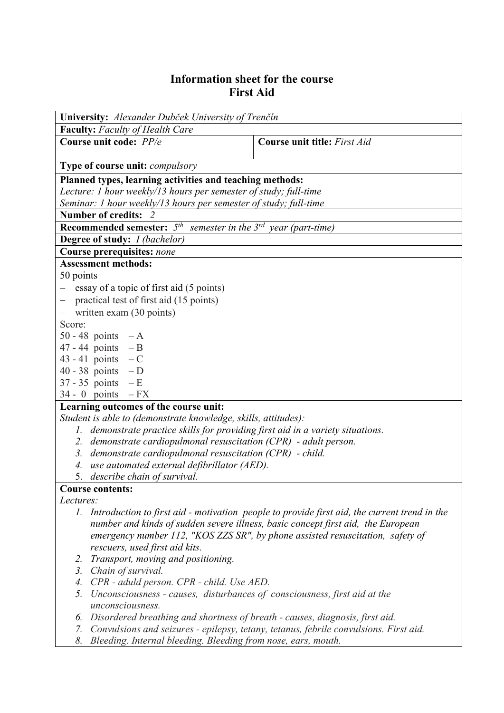## **Information sheet for the course First Aid**

| University: Alexander Dubček University of Trenčín                              |                                                                                                 |  |  |  |  |  |
|---------------------------------------------------------------------------------|-------------------------------------------------------------------------------------------------|--|--|--|--|--|
| <b>Faculty:</b> Faculty of Health Care                                          |                                                                                                 |  |  |  |  |  |
| Course unit code: PP/e                                                          | <b>Course unit title:</b> First Aid                                                             |  |  |  |  |  |
|                                                                                 |                                                                                                 |  |  |  |  |  |
| <b>Type of course unit: compulsory</b>                                          |                                                                                                 |  |  |  |  |  |
| Planned types, learning activities and teaching methods:                        |                                                                                                 |  |  |  |  |  |
| Lecture: 1 hour weekly/13 hours per semester of study; full-time                |                                                                                                 |  |  |  |  |  |
| Seminar: 1 hour weekly/13 hours per semester of study; full-time                |                                                                                                 |  |  |  |  |  |
| Number of credits: 2                                                            |                                                                                                 |  |  |  |  |  |
| <b>Recommended semester:</b> $5th$ semester in the $3rd$ year (part-time)       |                                                                                                 |  |  |  |  |  |
| <b>Degree of study:</b> <i>I (bachelor)</i>                                     |                                                                                                 |  |  |  |  |  |
| Course prerequisites: none                                                      |                                                                                                 |  |  |  |  |  |
| <b>Assessment methods:</b>                                                      |                                                                                                 |  |  |  |  |  |
| 50 points                                                                       |                                                                                                 |  |  |  |  |  |
| essay of a topic of first aid (5 points)                                        |                                                                                                 |  |  |  |  |  |
| practical test of first aid (15 points)                                         |                                                                                                 |  |  |  |  |  |
| written exam (30 points)                                                        |                                                                                                 |  |  |  |  |  |
| Score:                                                                          |                                                                                                 |  |  |  |  |  |
| 50 - 48 points $-A$                                                             |                                                                                                 |  |  |  |  |  |
| $47 - 44$ points $-B$                                                           |                                                                                                 |  |  |  |  |  |
| 43 - 41 points $-C$                                                             |                                                                                                 |  |  |  |  |  |
| 40 - 38 points $-D$                                                             |                                                                                                 |  |  |  |  |  |
| $37 - 35$ points $-E$                                                           |                                                                                                 |  |  |  |  |  |
| $34 - 0$ points $-FX$                                                           |                                                                                                 |  |  |  |  |  |
| Learning outcomes of the course unit:                                           |                                                                                                 |  |  |  |  |  |
| Student is able to (demonstrate knowledge, skills, attitudes):                  |                                                                                                 |  |  |  |  |  |
| 1. demonstrate practice skills for providing first aid in a variety situations. |                                                                                                 |  |  |  |  |  |
| 2. demonstrate cardiopulmonal resuscitation (CPR) - adult person.               |                                                                                                 |  |  |  |  |  |
| 3. demonstrate cardiopulmonal resuscitation (CPR) - child.                      |                                                                                                 |  |  |  |  |  |
| 4. use automated external defibrillator (AED).                                  |                                                                                                 |  |  |  |  |  |
| 5. describe chain of survival.                                                  |                                                                                                 |  |  |  |  |  |
| <b>Course contents:</b>                                                         |                                                                                                 |  |  |  |  |  |
| Lectures:                                                                       |                                                                                                 |  |  |  |  |  |
|                                                                                 | 1. Introduction to first aid - motivation people to provide first aid, the current trend in the |  |  |  |  |  |
|                                                                                 | number and kinds of sudden severe illness, basic concept first aid, the European                |  |  |  |  |  |
|                                                                                 | emergency number 112, "KOS ZZS SR", by phone assisted resuscitation, safety of                  |  |  |  |  |  |
| rescuers, used first aid kits.                                                  |                                                                                                 |  |  |  |  |  |
| Transport, moving and positioning.<br>2.                                        |                                                                                                 |  |  |  |  |  |
| 3. Chain of survival.                                                           |                                                                                                 |  |  |  |  |  |
| 4. CPR - aduld person. CPR - child. Use AED.                                    |                                                                                                 |  |  |  |  |  |
| 5.<br>Unconsciousness - causes, disturbances of consciousness, first aid at the |                                                                                                 |  |  |  |  |  |
| unconsciousness.                                                                |                                                                                                 |  |  |  |  |  |
| 6. Disordered breathing and shortness of breath - causes, diagnosis, first aid. |                                                                                                 |  |  |  |  |  |

- *7. Convulsions and seizures epilepsy, tetany, tetanus, febrile convulsions. First aid.*
- *8. Bleeding. Internal bleeding. Bleeding from nose, ears, mouth.*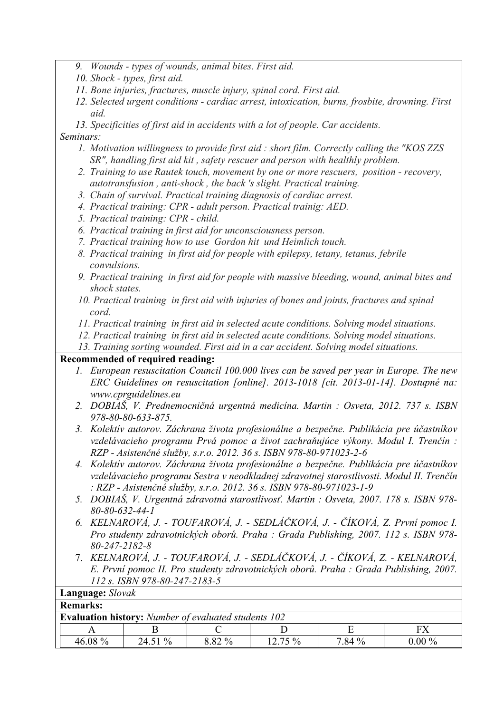- *9. Wounds types of wounds, animal bites. First aid.*
- *10. Shock types, first aid.*
- *11. Bone injuries, fractures, muscle injury, spinal cord. First aid.*
- *12. Selected urgent conditions cardiac arrest, intoxication, burns, frosbite, drowning. First aid.*

*13. Specificities of first aid in accidents with a lot of people. Car accidents. Seminars:*

- *1. Motivation willingness to provide first aid : short film. Correctly calling the "KOS ZZS SR", handling first aid kit , safety rescuer and person with healthly problem.*
- *2. Training to use Rautek touch, movement by one or more rescuers, position recovery, autotransfusion , anti-shock , the back 's slight. Practical training.*
- *3. Chain of survival. Practical training diagnosis of cardiac arrest.*
- *4. Practical training: CPR adult person. Practical trainig: AED.*
- *5. Practical training: CPR child.*
- *6. Practical training in first aid for unconsciousness person.*
- *7. Practical training how to use Gordon hit und Heimlich touch.*
- *8. Practical training in first aid for people with epilepsy, tetany, tetanus, febrile convulsions.*
- *9. Practical training in first aid for people with massive bleeding, wound, animal bites and shock states.*
- *10. Practical training in first aid with injuries of bones and joints, fractures and spinal cord.*
- *11. Practical training in first aid in selected acute conditions. Solving model situations.*
- *12. Practical training in first aid in selected acute conditions. Solving model situations.*
- *13. Training sorting wounded. First aid in a car accident. Solving model situations.*

## **Recommended of required reading:**

- *1. European resuscitation Council 100.000 lives can be saved per year in Europe. The new ERC Guidelines on resuscitation [online]. 2013-1018 [cit. 2013-01-14]. Dostupné na: www.cprguidelines.eu*
- *2. DOBIAŠ, V. Prednemocničná urgentná medicína. Martin : Osveta, 2012. 737 s. ISBN 978-80-80-633-875.*
- *3. Kolektív autorov. Záchrana života profesionálne a bezpečne. Publikácia pre účastníkov vzdelávacieho programu Prvá pomoc a život zachraňujúce výkony. Modul I. Trenčín : RZP - Asistenčné služby, s.r.o. 2012. 36 s. ISBN 978-80-971023-2-6*
- *4. Kolektív autorov. Záchrana života profesionálne a bezpečne. Publikácia pre účastníkov vzdelávacieho programu Sestra v neodkladnej zdravotnej starostlivosti. Modul II. Trenčín : RZP - Asistenčné služby, s.r.o. 2012. 36 s. ISBN 978-80-971023-1-9*
- *5. DOBIAŠ, V. Urgentná zdravotná starostlivosť. Martin : Osveta, 2007. 178 s. ISBN 978- 80-80-632-44-1*
- *6. KELNAROVÁ, J. TOUFAROVÁ, J. SEDLÁČKOVÁ, J. ČÍKOVÁ, Z. První pomoc I. Pro studenty zdravotnických oborů. Praha : Grada Publishing, 2007. 112 s. ISBN 978- 80-247-2182-8*
- 7. *KELNAROVÁ, J. TOUFAROVÁ, J. SEDLÁČKOVÁ, J. ČÍKOVÁ, Z. KELNAROVÁ, E. První pomoc II. Pro studenty zdravotnických oborů. Praha : Grada Publishing, 2007. 112 s. ISBN 978-80-247-2183-5* **Language:** *Slovak*

| Language: Stovak                                            |         |         |        |         |          |          |  |
|-------------------------------------------------------------|---------|---------|--------|---------|----------|----------|--|
| <b>Remarks:</b>                                             |         |         |        |         |          |          |  |
| <b>Evaluation history:</b> Number of evaluated students 102 |         |         |        |         |          |          |  |
|                                                             |         |         |        |         |          |          |  |
|                                                             | 46.08 % | 24.51 % | 8.82 % | 12.75 % | $7.84\%$ | $0.00\%$ |  |